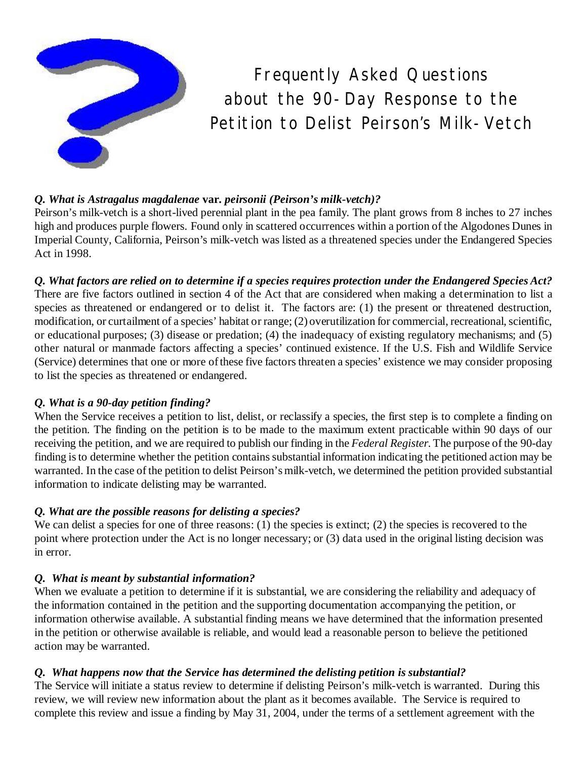

*Frequently Asked Questions about the 90- Day Response to the Petition to Delist Peirson's Milk- Vetch*

### *Q. What is Astragalus magdalenae* **var.** *peirsonii (Peirson's milk-vetch)?*

Peirson's milk-vetch is a short-lived perennial plant in the pea family. The plant grows from 8 inches to 27 inches high and produces purple flowers. Found only in scattered occurrences within a portion of the Algodones Dunes in Imperial County, California, Peirson's milk-vetch was listed as a threatened species under the Endangered Species Act in 1998.

*Q. What factors are relied on to determine if a species requires protection under the Endangered Species Act?* There are five factors outlined in section 4 of the Act that are considered when making a determination to list a species as threatened or endangered or to delist it. The factors are: (1) the present or threatened destruction, modification, or curtailment of a species' habitat or range; (2) overutilization for commercial, recreational, scientific, or educational purposes; (3) disease or predation; (4) the inadequacy of existing regulatory mechanisms; and (5) other natural or manmade factors affecting a species' continued existence. If the U.S. Fish and Wildlife Service (Service) determines that one or more of these five factors threaten a species' existence we may consider proposing to list the species as threatened or endangered.

#### *Q. What is a 90-day petition finding?*

When the Service receives a petition to list, delist, or reclassify a species, the first step is to complete a finding on the petition. The finding on the petition is to be made to the maximum extent practicable within 90 days of our receiving the petition, and we are required to publish our finding in the *Federal Register*. The purpose of the 90-day finding is to determine whether the petition contains substantial information indicating the petitioned action may be warranted. In the case of the petition to delist Peirson's milk-vetch, we determined the petition provided substantial information to indicate delisting may be warranted.

# *Q. What are the possible reasons for delisting a species?*

We can delist a species for one of three reasons: (1) the species is extinct; (2) the species is recovered to the point where protection under the Act is no longer necessary; or (3) data used in the original listing decision was in error.

# *Q. What is meant by substantial information?*

When we evaluate a petition to determine if it is substantial, we are considering the reliability and adequacy of the information contained in the petition and the supporting documentation accompanying the petition, or information otherwise available. A substantial finding means we have determined that the information presented in the petition or otherwise available is reliable, and would lead a reasonable person to believe the petitioned action may be warranted.

# *Q. What happens now that the Service has determined the delisting petition is substantial?*

The Service will initiate a status review to determine if delisting Peirson's milk-vetch is warranted. During this review, we will review new information about the plant as it becomes available. The Service is required to complete this review and issue a finding by May 31, 2004, under the terms of a settlement agreement with the